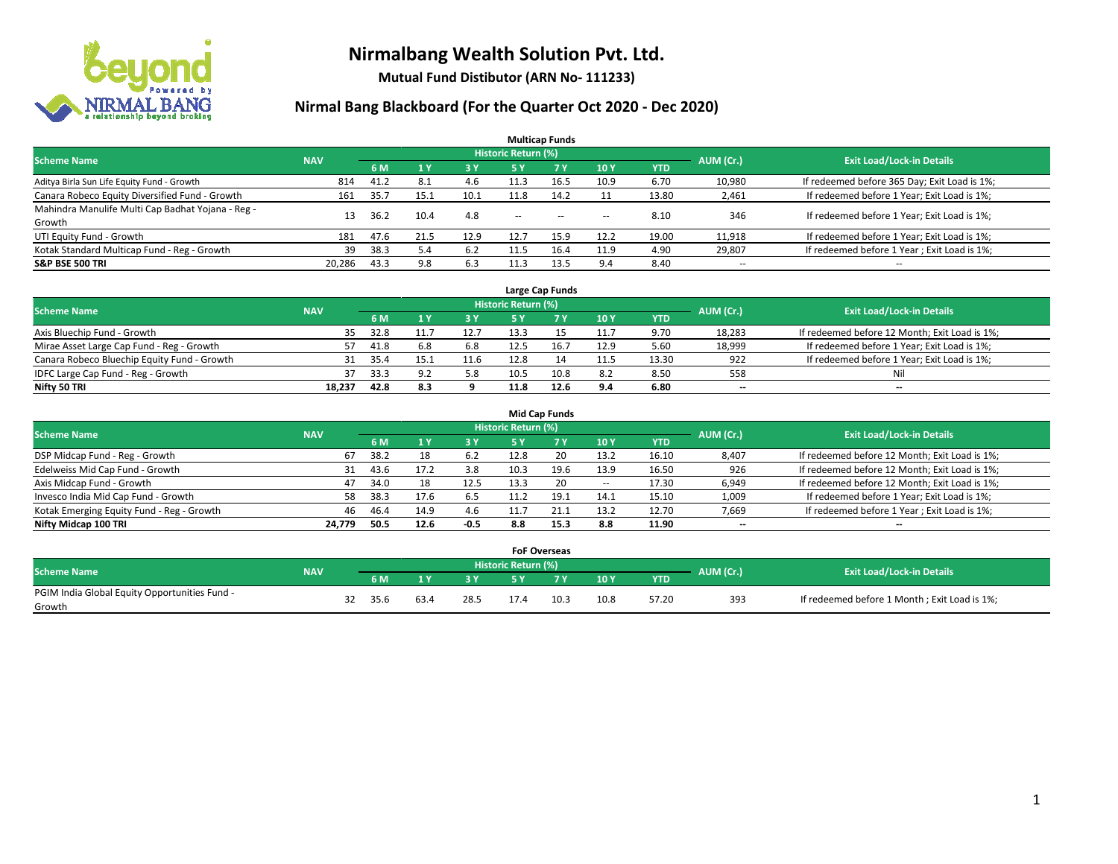

**Mutual Fund Distibutor (ARN No- 111233)**

| <b>Multicap Funds</b>                             |                                  |      |      |      |                          |            |                          |            |                          |                                              |  |  |  |  |
|---------------------------------------------------|----------------------------------|------|------|------|--------------------------|------------|--------------------------|------------|--------------------------|----------------------------------------------|--|--|--|--|
| <b>Scheme Name</b>                                | <b>Exit Load/Lock-in Details</b> |      |      |      |                          |            |                          |            |                          |                                              |  |  |  |  |
|                                                   | <b>NAV</b>                       | 6 M  | 1Y   | 3 Y  | 5 Y                      | <b>7 Y</b> | 10Y                      | <b>YTD</b> | AUM (Cr.)                |                                              |  |  |  |  |
| Aditya Birla Sun Life Equity Fund - Growth        | 814                              | 41.2 | 8.1  | 4.6  | 11.3                     | 16.5       | 10.9                     | 6.70       | 10,980                   | If redeemed before 365 Day; Exit Load is 1%; |  |  |  |  |
| Canara Robeco Equity Diversified Fund - Growth    | 161                              | 35.7 | 15.1 | 10.1 | 11.8                     | 14.2       |                          | 13.80      | 2,461                    | If redeemed before 1 Year; Exit Load is 1%;  |  |  |  |  |
| Mahindra Manulife Multi Cap Badhat Yojana - Reg - | 13                               | 36.2 | 10.4 | 4.8  | $\overline{\phantom{a}}$ |            |                          | 8.10       | 346                      | If redeemed before 1 Year; Exit Load is 1%;  |  |  |  |  |
| Growth                                            |                                  |      |      |      |                          | $- -$      | $\overline{\phantom{a}}$ |            |                          |                                              |  |  |  |  |
| UTI Equity Fund - Growth                          | 181                              | 47.6 | 21.5 | 12.9 | 12.7                     | 15.9       | 12.2                     | 19.00      | 11,918                   | If redeemed before 1 Year; Exit Load is 1%;  |  |  |  |  |
| Kotak Standard Multicap Fund - Reg - Growth       | 39                               | 38.3 | 5.4  | 6.2  | 11.5                     | 16.4       | 11.9                     | 4.90       | 29,807                   | If redeemed before 1 Year; Exit Load is 1%;  |  |  |  |  |
| <b>S&amp;P BSE 500 TRI</b>                        | 20.286                           | 43.3 | 9.8  | 6.3  |                          | 13.5       | 9.4                      | 8.40       | $\overline{\phantom{a}}$ | $- -$                                        |  |  |  |  |

|                                             |            |      |     |      |                            | Large Cap Funds |      |            |           |                                               |
|---------------------------------------------|------------|------|-----|------|----------------------------|-----------------|------|------------|-----------|-----------------------------------------------|
| <b>Scheme Name</b>                          | <b>NAV</b> |      |     |      | <b>Historic Return (%)</b> |                 |      |            | AUM (Cr.) | <b>Exit Load/Lock-in Details</b>              |
|                                             |            | 6 M  |     | 3Y   |                            | 7 Y             | 10Y  | <b>YTD</b> |           |                                               |
| Axis Bluechip Fund - Growth                 | 35         | 32.8 |     | 12.7 | 13.3                       |                 | 11.7 | 9.70       | 18,283    | If redeemed before 12 Month; Exit Load is 1%; |
| Mirae Asset Large Cap Fund - Reg - Growth   | 57         | 41.8 | 6.8 | 6.8  | 12.5                       | 16.             | 12.9 | 5.60       | 18,999    | If redeemed before 1 Year; Exit Load is 1%;   |
| Canara Robeco Bluechip Equity Fund - Growth |            | 35.4 |     | 11.6 |                            |                 | 11.5 | 13.30      | 922       | If redeemed before 1 Year; Exit Load is 1%;   |
| IDFC Large Cap Fund - Reg - Growth          | 37         | 33.3 | റാ  | 5.8  | 10.5                       |                 | 8.2  | 8.50       | 558       | Nil                                           |
| Nifty 50 TRI                                | 18.237     | 42.8 | 8.3 |      | 11.8                       |                 | 9.4  | 6.80       | $- -$     | $- -$                                         |

| <b>Mid Cap Funds</b>                      |            |           |                                  |           |            |      |        |            |                          |                                               |  |  |  |  |
|-------------------------------------------|------------|-----------|----------------------------------|-----------|------------|------|--------|------------|--------------------------|-----------------------------------------------|--|--|--|--|
| <b>Scheme Name</b>                        | <b>NAV</b> | AUM (Cr.) | <b>Exit Load/Lock-in Details</b> |           |            |      |        |            |                          |                                               |  |  |  |  |
|                                           |            | 6 M       |                                  | <b>3Y</b> | <b>5 Y</b> |      | 10Y    | <b>YTD</b> |                          |                                               |  |  |  |  |
| DSP Midcap Fund - Reg - Growth            | 67         | 38.2      | 18                               | 6.2       | 12.8       | 20   | 13.2   | 16.10      | 8,407                    | If redeemed before 12 Month; Exit Load is 1%; |  |  |  |  |
| Edelweiss Mid Cap Fund - Growth           | 31         | 43.6      |                                  | 3.8       | 10.3       | 19.6 | 13.9   | 16.50      | 926                      | If redeemed before 12 Month; Exit Load is 1%; |  |  |  |  |
| Axis Midcap Fund - Growth                 | 47         | 34.0      |                                  | 12.5      | 13.3       | 20   | $\sim$ | 17.30      | 6,949                    | If redeemed before 12 Month; Exit Load is 1%; |  |  |  |  |
| Invesco India Mid Cap Fund - Growth       | 58         | 38.3      | 17.6                             | 6.5       | 11.2       | 19.1 | 14.1   | 15.10      | 1,009                    | If redeemed before 1 Year; Exit Load is 1%;   |  |  |  |  |
| Kotak Emerging Equity Fund - Reg - Growth | 46         | 46.4      | 14.9                             | 4.6       | 11.7       | 21.1 | 13.2   | 12.70      | 7,669                    | If redeemed before 1 Year; Exit Load is 1%;   |  |  |  |  |
| Nifty Midcap 100 TRI                      | 24.779     | 50.5      | 12.6                             | $-0.5$    | 8.8        | 15.3 | 8.8    | 11.90      | $\overline{\phantom{m}}$ | $\overline{\phantom{a}}$                      |  |  |  |  |

|                                                         |            |      |      | <b>FoF Overseas</b> |      |      |            |           |                                              |
|---------------------------------------------------------|------------|------|------|---------------------|------|------|------------|-----------|----------------------------------------------|
| Scheme Name                                             | <b>NAV</b> |      |      | Historic Return (%) |      |      |            | AUM (Cr.) | <b>Exit Load/Lock-in Details</b>             |
|                                                         |            | 6 M  | o v  |                     | 7 V  | 10Y  | <b>YTD</b> |           |                                              |
| PGIM India Global Equity Opportunities Fund -<br>Growth |            | 35.6 | 28.5 |                     | 10.3 | 10.8 | 57.20      | 393       | If redeemed before 1 Month; Exit Load is 1%; |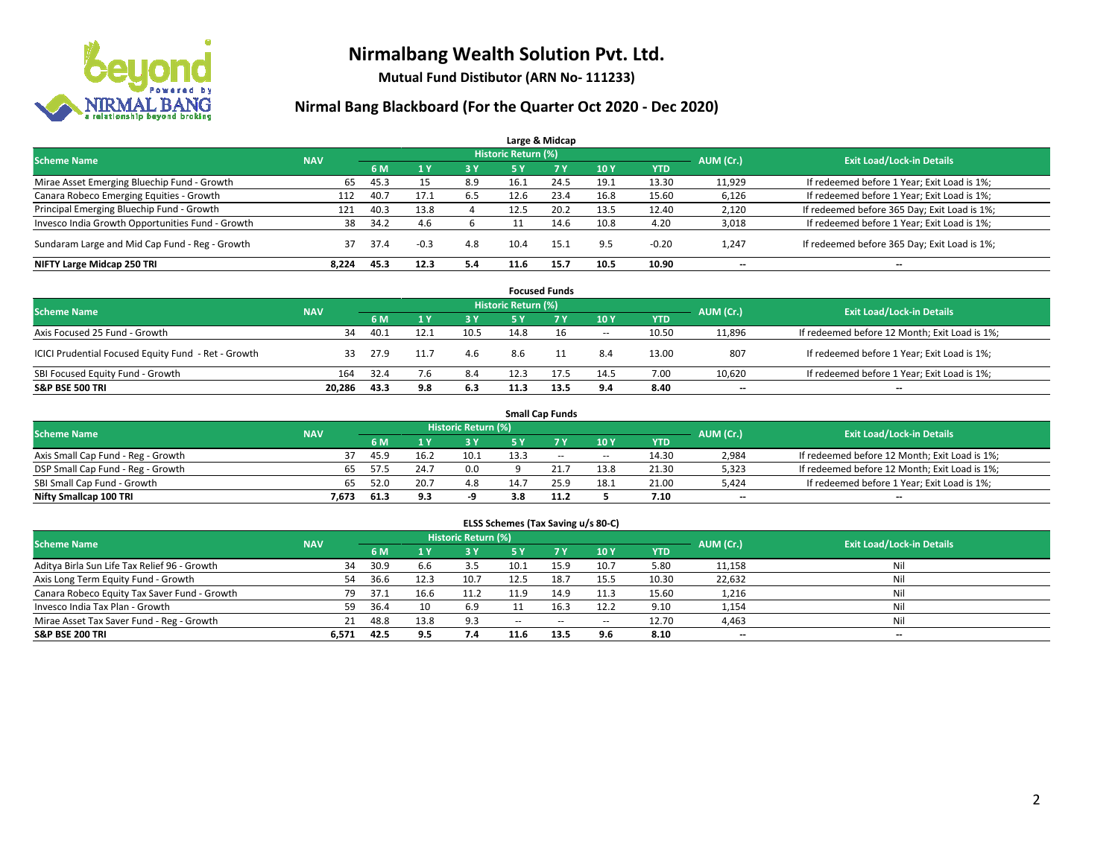

**Mutual Fund Distibutor (ARN No- 111233)**

|                                                  |            |      |                |     |                     | Large & Midcap |      |            |           |                                              |
|--------------------------------------------------|------------|------|----------------|-----|---------------------|----------------|------|------------|-----------|----------------------------------------------|
| <b>Scheme Name</b>                               | <b>NAV</b> |      |                |     | Historic Return (%) |                |      |            | AUM (Cr.) | <b>Exit Load/Lock-in Details</b>             |
|                                                  |            | 6 M  | 1 <sub>Y</sub> | 3 Y | 5 Y                 | 7Y             | 10Y  | <b>YTD</b> |           |                                              |
| Mirae Asset Emerging Bluechip Fund - Growth      | 65         | 45.3 | 15             | 8.9 | 16.1                | 24.5           | 19.1 | 13.30      | 11,929    | If redeemed before 1 Year; Exit Load is 1%;  |
| Canara Robeco Emerging Equities - Growth         | 112        | 40.7 | 17.1           | 6.5 | 12.6                | 23.4           | 16.8 | 15.60      | 6,126     | If redeemed before 1 Year; Exit Load is 1%;  |
| Principal Emerging Bluechip Fund - Growth        | 121        | 40.3 | 13.8           |     | 12.5                | 20.2           | 13.5 | 12.40      | 2,120     | If redeemed before 365 Day; Exit Load is 1%; |
| Invesco India Growth Opportunities Fund - Growth | 38         | 34.2 | 4.6            |     |                     | 14.6           | 10.8 | 4.20       | 3,018     | If redeemed before 1 Year; Exit Load is 1%;  |
| Sundaram Large and Mid Cap Fund - Reg - Growth   | 37         | 37.4 | $-0.3$         | 4.8 | 10.4                | 15.1           | 9.5  | $-0.20$    | 1,247     | If redeemed before 365 Day; Exit Load is 1%; |
| NIFTY Large Midcap 250 TRI                       | 8.224      | 45.3 | 12.3           | 5.4 | 11.6                | 15.7           | 10.5 | 10.90      | $- -$     | $\overline{\phantom{a}}$                     |

|                                                     |            |      |      |           |                     | <b>Focused Funds</b> |                          |            |           |                                               |
|-----------------------------------------------------|------------|------|------|-----------|---------------------|----------------------|--------------------------|------------|-----------|-----------------------------------------------|
| <b>Scheme Name</b>                                  | <b>NAV</b> |      |      |           | Historic Return (%) |                      |                          |            | AUM (Cr.) | <b>Exit Load/Lock-in Details</b>              |
|                                                     |            | 6 M  |      | <b>3Y</b> | 5 Y                 | <b>7Y</b>            | 10Y                      | <b>YTD</b> |           |                                               |
| Axis Focused 25 Fund - Growth                       | 34         | 40.1 | 12.1 | 10.5      | 14.8                |                      | $\overline{\phantom{a}}$ | 10.50      | 11,896    | If redeemed before 12 Month; Exit Load is 1%; |
| ICICI Prudential Focused Equity Fund - Ret - Growth | 33         | 27.9 |      | 4.6       | 8.6                 |                      | 8.4                      | 13.00      | 807       | If redeemed before 1 Year; Exit Load is 1%;   |
| SBI Focused Equity Fund - Growth                    | 164        | 32.4 |      | 8.4       |                     | 17.5                 | 14.5                     | 7.00       | 10,620    | If redeemed before 1 Year; Exit Load is 1%;   |
| <b>S&amp;P BSE 500 TRI</b>                          | 20.286     | 43.3 | 9.8  | 6.3       | 11.3                | 13.5                 | 9.4                      | 8.40       | $- -$     | $\overline{\phantom{a}}$                      |

|                                    |            |      |      |                     |      | <b>Small Cap Funds</b> |        |            |           |                                               |
|------------------------------------|------------|------|------|---------------------|------|------------------------|--------|------------|-----------|-----------------------------------------------|
| <b>Scheme Name</b>                 | <b>NAV</b> |      |      | Historic Return (%) |      |                        |        |            |           | <b>Exit Load/Lock-in Details</b>              |
|                                    |            | 6 M  |      | 3 Y                 |      |                        | 10Y    | <b>YTD</b> | AUM (Cr.) |                                               |
| Axis Small Cap Fund - Reg - Growth |            | 45.9 | 16.2 | 10.1                | 13.3 | $\sim$                 | $\sim$ | 14.30      | 2,984     | If redeemed before 12 Month; Exit Load is 1%; |
| DSP Small Cap Fund - Reg - Growth  | 65         | 57.5 | 24.7 | 0.0                 |      |                        | 13.8   | 21.30      | 5,323     | If redeemed before 12 Month; Exit Load is 1%; |
| SBI Small Cap Fund - Growth        | 65         | 52.0 |      | 4.8                 | 14.7 | 25. <sup>o</sup>       | 18.1   | 21.00      | 5,424     | If redeemed before 1 Year; Exit Load is 1%;   |
| Nifty Smallcap 100 TRI             | 7.673      | 61.3 | 9.3  |                     |      | 11.2                   |        | 7.10       | $-$       | $\overline{\phantom{a}}$                      |

| ELSS Schemes (Tax Saving u/s 80-C)                                                                              |       |      |      |      |               |             |                          |            |        |                          |  |  |  |  |
|-----------------------------------------------------------------------------------------------------------------|-------|------|------|------|---------------|-------------|--------------------------|------------|--------|--------------------------|--|--|--|--|
| <b>Historic Return (%)</b><br><b>Exit Load/Lock-in Details</b><br><b>Scheme Name</b><br>AUM (Cr.)<br><b>NAV</b> |       |      |      |      |               |             |                          |            |        |                          |  |  |  |  |
|                                                                                                                 |       | 6 M  | /1 Y | 3 Y  | <b>5Y</b>     | <b>77 Y</b> | 10Y                      | <b>YTD</b> |        |                          |  |  |  |  |
| Aditya Birla Sun Life Tax Relief 96 - Growth                                                                    | 34    | 30.9 | 6.6  | 3.5  | 10.1          | 15.9        | 10.7                     | 5.80       | 11,158 | Nil                      |  |  |  |  |
| Axis Long Term Equity Fund - Growth                                                                             | 54    | 36.6 | 12.3 | 10.7 | 12.5          | 18.7        | 15.5                     | 10.30      | 22,632 | Nil                      |  |  |  |  |
| Canara Robeco Equity Tax Saver Fund - Growth                                                                    | 79    | 37.1 | 16.6 | 11.2 | 11.9          | 14.9        | 11.3                     | 15.60      | 1,216  | Nil                      |  |  |  |  |
| Invesco India Tax Plan - Growth                                                                                 | 59    | 36.4 | 10   | 6.9  |               | 16.3        | 12.2                     | 9.10       | 1,154  | Nil                      |  |  |  |  |
| Mirae Asset Tax Saver Fund - Reg - Growth                                                                       | 21    | 48.8 | 13.8 | 9.3  | $\sim$ $\sim$ | $\sim$      | $\overline{\phantom{a}}$ | 12.70      | 4,463  | Nil                      |  |  |  |  |
| S&P BSE 200 TRI                                                                                                 | 6.571 | 42.5 | 9.5  | 7.4  | 11.6          | 13.5        | 9.6                      | 8.10       | $- -$  | $\overline{\phantom{a}}$ |  |  |  |  |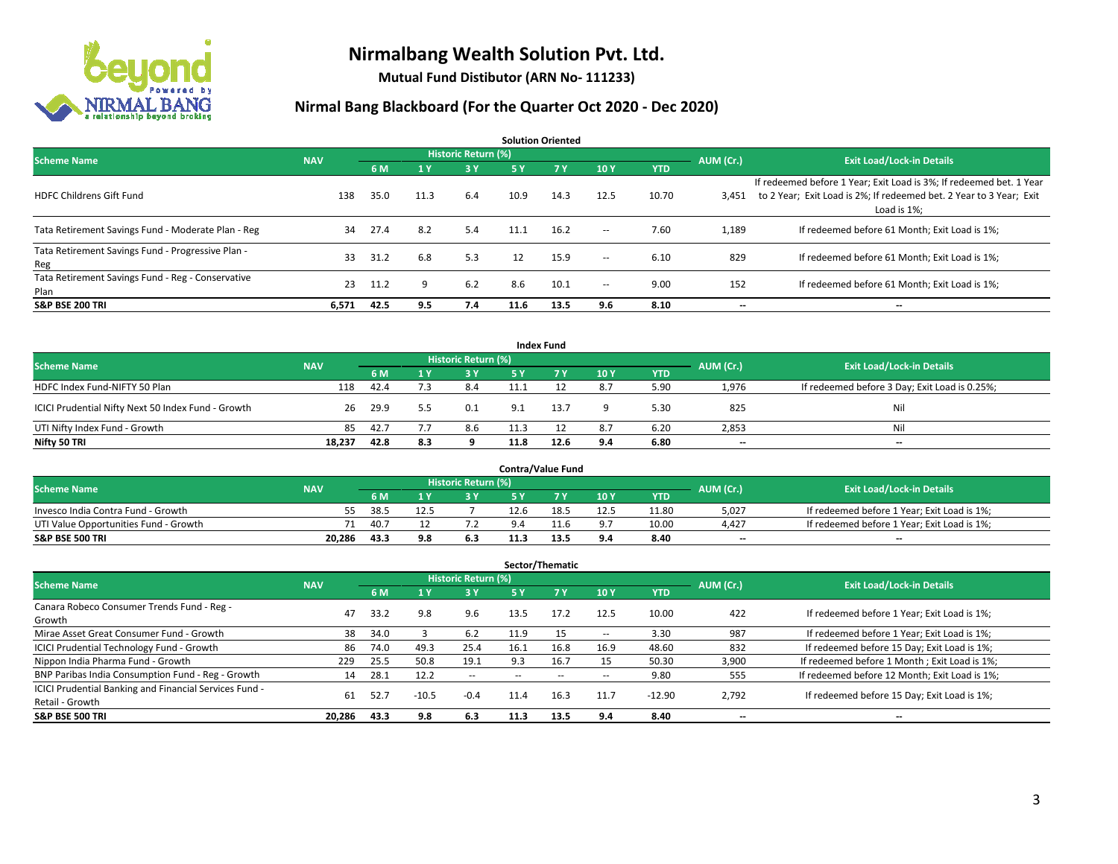

**Mutual Fund Distibutor (ARN No- 111233)**

| <b>Solution Oriented</b>                                  |            |      |      |                            |      |      |        |            |           |                                                                                                                                                           |  |  |  |
|-----------------------------------------------------------|------------|------|------|----------------------------|------|------|--------|------------|-----------|-----------------------------------------------------------------------------------------------------------------------------------------------------------|--|--|--|
| <b>Scheme Name</b>                                        | <b>NAV</b> |      |      | <b>Historic Return (%)</b> |      |      |        |            | AUM (Cr.) | <b>Exit Load/Lock-in Details</b>                                                                                                                          |  |  |  |
|                                                           |            | 6 M  | 1 Y  | 3 Y                        | 5 Y  | 7Y   | 10Y    | <b>YTD</b> |           |                                                                                                                                                           |  |  |  |
| <b>HDFC Childrens Gift Fund</b>                           | 138        | 35.0 | 11.3 | 6.4                        | 10.9 | 14.3 | 12.5   | 10.70      | 3.451     | If redeemed before 1 Year; Exit Load is 3%; If redeemed bet. 1 Year<br>to 2 Year; Exit Load is 2%; If redeemed bet. 2 Year to 3 Year; Exit<br>Load is 1%; |  |  |  |
| Tata Retirement Savings Fund - Moderate Plan - Reg        | 34         | 27.4 | 8.2  | 5.4                        | 11.1 | 16.2 | $\sim$ | 7.60       | 1,189     | If redeemed before 61 Month; Exit Load is 1%;                                                                                                             |  |  |  |
| Tata Retirement Savings Fund - Progressive Plan -<br>Reg  | 33         | 31.2 | 6.8  | 5.3                        | 12   | 15.9 | $\sim$ | 6.10       | 829       | If redeemed before 61 Month; Exit Load is 1%;                                                                                                             |  |  |  |
| Tata Retirement Savings Fund - Reg - Conservative<br>Plan | 23         | 11.2 | q    | 6.2                        | 8.6  | 10.1 | $\sim$ | 9.00       | 152       | If redeemed before 61 Month: Exit Load is 1%:                                                                                                             |  |  |  |
| <b>S&amp;P BSE 200 TRI</b>                                | 6,571      | 42.5 | 9.5  | 7.4                        | 11.6 | 13.5 | 9.6    | 8.10       | --        | --                                                                                                                                                        |  |  |  |

| <b>Index Fund</b>                                  |            |                                  |     |     |      |      |     |            |       |                                               |  |  |  |
|----------------------------------------------------|------------|----------------------------------|-----|-----|------|------|-----|------------|-------|-----------------------------------------------|--|--|--|
| <b>Scheme Name</b>                                 | AUM (Cr.)  | <b>Exit Load/Lock-in Details</b> |     |     |      |      |     |            |       |                                               |  |  |  |
|                                                    | <b>NAV</b> | 6 M                              |     | 3 Y | 5 Y  | 7Y   | 10Y | <b>YTD</b> |       |                                               |  |  |  |
| HDFC Index Fund-NIFTY 50 Plan                      | 118        | 42.4                             |     | 8.4 |      |      | 8.7 | 5.90       | 1,976 | If redeemed before 3 Day; Exit Load is 0.25%; |  |  |  |
| ICICI Prudential Nifty Next 50 Index Fund - Growth |            | 29.9<br>26                       |     | 0.1 | Q 1  | 13.7 |     | 5.30       | 825   | Nil                                           |  |  |  |
| UTI Nifty Index Fund - Growth                      |            | 42.7<br>85                       |     | 8.6 |      |      | 8.7 | 6.20       | 2,853 | Nil                                           |  |  |  |
| Nifty 50 TRI                                       | 18,237     | 42.8                             | 8.3 |     | 11.8 | 12.6 | 9.4 | 6.80       | $-$   | $\overline{\phantom{a}}$                      |  |  |  |

|                                       |            |      |     |                     |      | <b>Contra/Value Fund</b> |      |       |           |                                             |
|---------------------------------------|------------|------|-----|---------------------|------|--------------------------|------|-------|-----------|---------------------------------------------|
| <b>Scheme Name</b>                    | <b>NAV</b> |      |     | Historic Return (%) |      |                          |      |       | AUM (Cr.) | <b>Exit Load/Lock-in Details</b>            |
|                                       |            | 6 M  |     | 3 Y                 |      |                          | 10Y  | YTD   |           |                                             |
| Invesco India Contra Fund - Growth    | 55         | 38.5 |     |                     | 12.6 | 18.5                     | 12.5 | 11.80 | 5,027     | If redeemed before 1 Year; Exit Load is 1%; |
| UTI Value Opportunities Fund - Growth |            | 40.7 |     |                     |      |                          | 9.7  | 10.00 | 4,427     | If redeemed before 1 Year; Exit Load is 1%; |
| <b>S&amp;P BSE 500 TRI</b>            | 20.286     | 43.3 | 9.8 | 6.3                 |      | 13.'                     | 9.4  | 8.40  | $-$       | $- -$                                       |

|                                                                           |            |      |                         |                     |      | Sector/Thematic |      |            |           |                                               |
|---------------------------------------------------------------------------|------------|------|-------------------------|---------------------|------|-----------------|------|------------|-----------|-----------------------------------------------|
| <b>Scheme Name</b>                                                        | <b>NAV</b> |      |                         | Historic Return (%) |      |                 |      |            | AUM (Cr.) | <b>Exit Load/Lock-in Details</b>              |
|                                                                           |            | 6 M  | $\mathbf{1} \mathbf{y}$ | <b>3Y</b>           | 5 Y  | 7 Y             | 10Y  | <b>YTD</b> |           |                                               |
| Canara Robeco Consumer Trends Fund - Reg -<br>Growth                      | 47         | 33.2 | 9.8                     | 9.6                 | 13.5 | 17.2            | 12.5 | 10.00      | 422       | If redeemed before 1 Year; Exit Load is 1%;   |
| Mirae Asset Great Consumer Fund - Growth                                  | 38         | 34.0 |                         | 6.2                 | 11.9 | 15              | --   | 3.30       | 987       | If redeemed before 1 Year; Exit Load is 1%;   |
| ICICI Prudential Technology Fund - Growth                                 | 86         | 74.0 | 49.3                    | 25.4                | 16.1 | 16.8            | 16.9 | 48.60      | 832       | If redeemed before 15 Day; Exit Load is 1%;   |
| Nippon India Pharma Fund - Growth                                         | 229        | 25.5 | 50.8                    | 19.1                | 9.3  | 16.7            | 15   | 50.30      | 3,900     | If redeemed before 1 Month; Exit Load is 1%;  |
| BNP Paribas India Consumption Fund - Reg - Growth                         | 14         | 28.1 | 12.2                    | $\sim$              | --   | --              | --   | 9.80       | 555       | If redeemed before 12 Month; Exit Load is 1%; |
| ICICI Prudential Banking and Financial Services Fund -<br>Retail - Growth | 61         | 52.7 | $-10.5$                 | $-0.4$              | 11.4 | 16.3            | 11.7 | $-12.90$   | 2,792     | If redeemed before 15 Day; Exit Load is 1%;   |
| <b>S&amp;P BSE 500 TRI</b>                                                | 20.286     | 43.3 | 9.8                     | 6.3                 | 11.3 | 13.5            | 9.4  | 8.40       | --        | --                                            |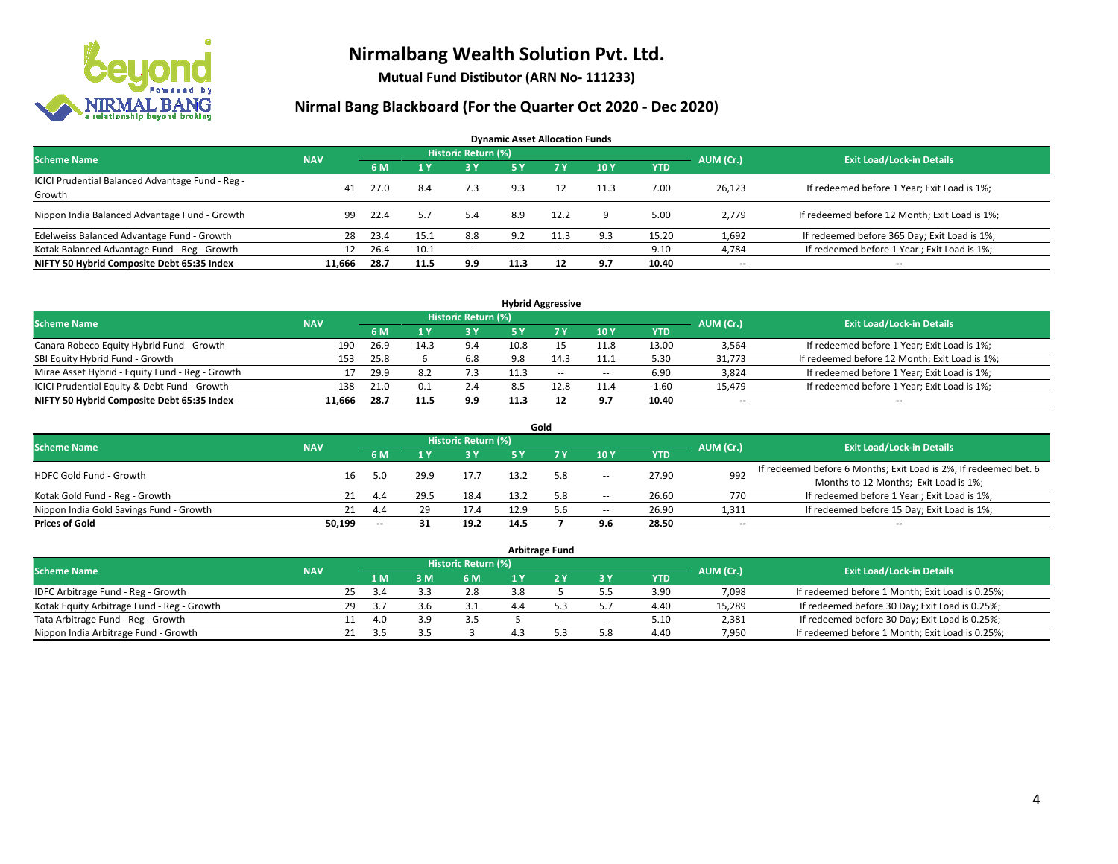

**Mutual Fund Distibutor (ARN No- 111233)**

|                                                            |            |      |      |                            | <b>Dynamic Asset Allocation Funds</b> |                          |        |            |           |                                               |
|------------------------------------------------------------|------------|------|------|----------------------------|---------------------------------------|--------------------------|--------|------------|-----------|-----------------------------------------------|
| <b>Scheme Name</b>                                         | <b>NAV</b> |      |      | <b>Historic Return (%)</b> |                                       |                          |        |            | AUM (Cr.) | <b>Exit Load/Lock-in Details</b>              |
|                                                            |            | 6 M  |      | 73 Y.                      | <b>5Y</b>                             | <b>7Y</b>                | 10Y    | <b>YTD</b> |           |                                               |
| ICICI Prudential Balanced Advantage Fund - Reg -<br>Growth | 41         | 27.0 | 8.4  | 7.3                        | 9.3                                   | 12                       | 11.3   | 7.00       | 26,123    | If redeemed before 1 Year; Exit Load is 1%;   |
| Nippon India Balanced Advantage Fund - Growth              | 99         | 22.4 | 5.7  | 5.4                        | 8.9                                   | 12.2                     | Q      | 5.00       | 2.779     | If redeemed before 12 Month; Exit Load is 1%; |
| Edelweiss Balanced Advantage Fund - Growth                 | 28         | 23.4 | 15.1 | 8.8                        | 9.2                                   | 11.3                     | 9.3    | 15.20      | 1,692     | If redeemed before 365 Day; Exit Load is 1%;  |
| Kotak Balanced Advantage Fund - Reg - Growth               | 12         | 26.4 | 10.1 | $\sim$                     | --                                    | $\overline{\phantom{a}}$ | $\sim$ | 9.10       | 4,784     | If redeemed before 1 Year; Exit Load is 1%;   |
| NIFTY 50 Hybrid Composite Debt 65:35 Index                 | 11.666     | 28.7 | 11.5 | 9.9                        | 11.3                                  | 12                       | 9.7    | 10.40      | --        | $\overline{\phantom{a}}$                      |

| <b>Hybrid Aggressive</b>                        |            |      |      |                            |      |      |        |            |           |                                               |  |  |  |
|-------------------------------------------------|------------|------|------|----------------------------|------|------|--------|------------|-----------|-----------------------------------------------|--|--|--|
| <b>Scheme Name</b>                              | <b>NAV</b> |      |      | <b>Historic Return (%)</b> |      |      |        |            | AUM (Cr.) | <b>Exit Load/Lock-in Details</b>              |  |  |  |
|                                                 |            | 6 M  |      | 3 Y                        |      |      | 10Y    | <b>YTD</b> |           |                                               |  |  |  |
| Canara Robeco Equity Hybrid Fund - Growth       | 190        | 26.9 | 14.3 | 9.4                        | 10.8 |      | 11.8   | 13.00      | 3,564     | If redeemed before 1 Year; Exit Load is 1%;   |  |  |  |
| SBI Equity Hybrid Fund - Growth                 | 153        | 25.8 |      | 6.8                        | 9.8  | 14.3 | 11.1   | 5.30       | 31,773    | If redeemed before 12 Month; Exit Load is 1%; |  |  |  |
| Mirae Asset Hybrid - Equity Fund - Reg - Growth |            | 29.9 | 8.2  |                            |      | $-$  | $\sim$ | 6.90       | 3,824     | If redeemed before 1 Year; Exit Load is 1%;   |  |  |  |
| ICICI Prudential Equity & Debt Fund - Growth    | 138        | 21.0 | 0.1  | 2.4                        | 8.5  | ۔2.8 | 11.4   | -1.60      | 15.479    | If redeemed before 1 Year; Exit Load is 1%;   |  |  |  |
| NIFTY 50 Hybrid Composite Debt 65:35 Index      | 11.666     | 28.7 | 11.5 | 9.9                        | 11.3 |      | 9.7    | 10.40      | $- -$     | $\overline{\phantom{a}}$                      |  |  |  |

|                                         |            |    |                          |      |                     |      | Gold |                          |            |                          |                                                                  |
|-----------------------------------------|------------|----|--------------------------|------|---------------------|------|------|--------------------------|------------|--------------------------|------------------------------------------------------------------|
| <b>Scheme Name</b>                      | <b>NAV</b> |    |                          |      | Historic Return (%) |      |      |                          |            | AUM (Cr.)                | <b>Exit Load/Lock-in Details</b>                                 |
|                                         |            |    | 6 M                      |      | 3V                  | 5 Y  |      | 10Y                      | <b>YTD</b> |                          |                                                                  |
| HDFC Gold Fund - Growth                 |            | 16 | 5.0                      | 29.9 | 17.7                |      | 5.8  | $\overline{\phantom{a}}$ | 27.90      | 992                      | If redeemed before 6 Months; Exit Load is 2%; If redeemed bet. 6 |
|                                         |            |    |                          |      |                     |      |      |                          |            |                          | Months to 12 Months; Exit Load is 1%;                            |
| Kotak Gold Fund - Reg - Growth          |            |    | 4.4                      | 29.5 | 18.4                | 13.2 | 5.8  | $\overline{\phantom{a}}$ | 26.60      | 770                      | If redeemed before 1 Year; Exit Load is 1%;                      |
| Nippon India Gold Savings Fund - Growth |            | 21 | 4.4                      | 29   | 17.4                | 12.9 | 5.6  | $\!-$                    | 26.90      | 1,311                    | If redeemed before 15 Day; Exit Load is 1%;                      |
| <b>Prices of Gold</b>                   | 50.199     |    | $\overline{\phantom{a}}$ | 31   | 19.2                | 14.5 |      | 9.6                      | 28.50      | $\overline{\phantom{a}}$ | $\overline{\phantom{a}}$                                         |

| <b>Arbitrage Fund</b>                      |            |     |      |     |                     |  |     |        |            |           |                                                 |  |  |
|--------------------------------------------|------------|-----|------|-----|---------------------|--|-----|--------|------------|-----------|-------------------------------------------------|--|--|
| <b>Scheme Name</b>                         | <b>NAV</b> |     |      |     | Historic Return (%) |  |     |        |            | AUM (Cr.) | <b>Exit Load/Lock-in Details</b>                |  |  |
|                                            |            |     | 4 M  | 3 M | 6 M                 |  |     | ЗY     | <b>YTD</b> |           |                                                 |  |  |
| IDFC Arbitrage Fund - Reg - Growth         |            | 25. | 3.4  |     | 2.8                 |  |     |        | 3.90       | 7,098     | If redeemed before 1 Month; Exit Load is 0.25%; |  |  |
| Kotak Equity Arbitrage Fund - Reg - Growth |            | 29  | -3.7 | 3.6 | 3.1                 |  |     |        | 4.40       | 15,289    | If redeemed before 30 Day; Exit Load is 0.25%;  |  |  |
| Tata Arbitrage Fund - Reg - Growth         |            |     | 4.0  | 3.9 | 3.5                 |  | $-$ | $\sim$ | 5.10       | 2,381     | If redeemed before 30 Day; Exit Load is 0.25%;  |  |  |
| Nippon India Arbitrage Fund - Growth       |            |     |      |     |                     |  |     | 5.8    | 4.40       | 7.950     | If redeemed before 1 Month; Exit Load is 0.25%; |  |  |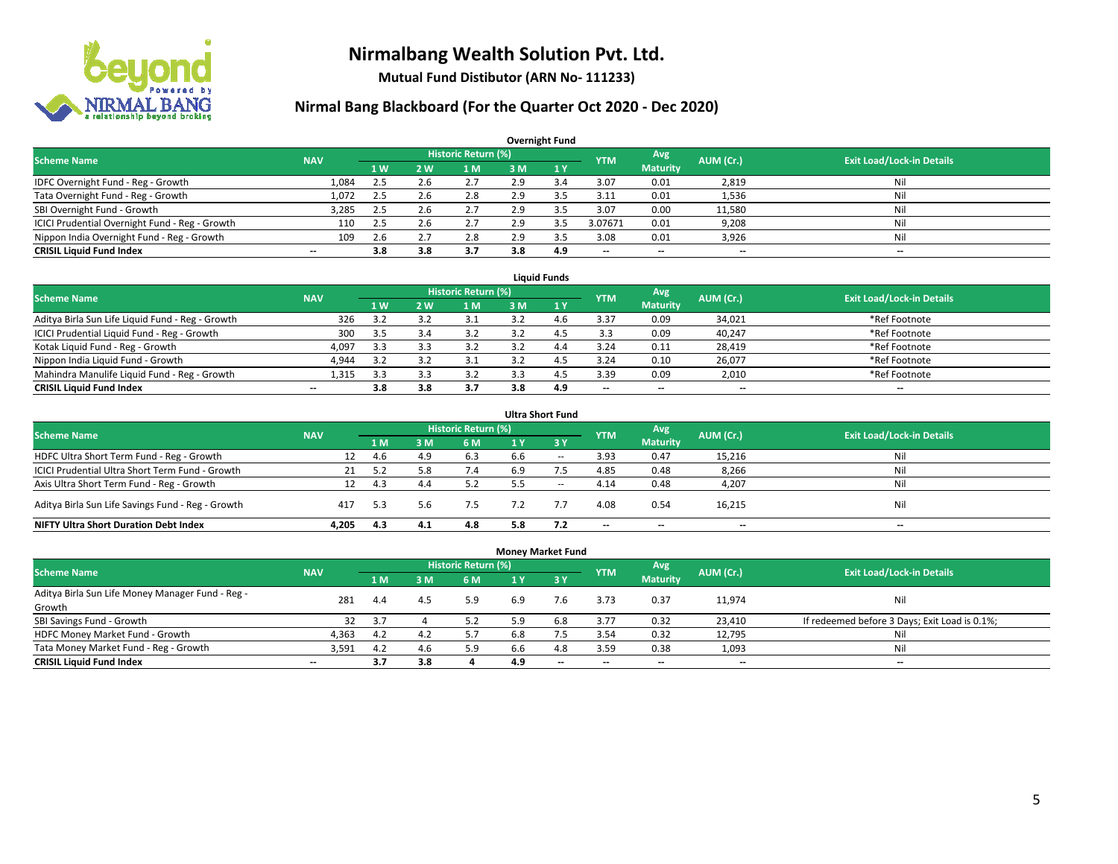

**Mutual Fund Distibutor (ARN No- 111233)**

|                                                |                          |     |     |                            |     | <b>Overnight Fund</b> |            |                          |           |                                  |
|------------------------------------------------|--------------------------|-----|-----|----------------------------|-----|-----------------------|------------|--------------------------|-----------|----------------------------------|
| <b>Scheme Name</b>                             | <b>NAV</b>               |     |     | <b>Historic Return (%)</b> |     |                       | <b>YTM</b> | Avg                      | AUM (Cr.) | <b>Exit Load/Lock-in Details</b> |
|                                                |                          | 1W  | 2 W | l M                        | 3 M | $\sqrt{1}$ Y          |            | <b>Maturity</b>          |           |                                  |
| IDFC Overnight Fund - Reg - Growth             | 1.084                    | 2.5 | 2.6 | 2.7                        | 2.9 | 3.4                   | 3.07       | 0.01                     | 2,819     | Nil                              |
| Tata Overnight Fund - Reg - Growth             | 1,072                    | 2.5 | 2.6 | 2.8                        | 2.9 | 3.5                   | 3.11       | 0.01                     | 1,536     | Nil                              |
| SBI Overnight Fund - Growth                    | 3,285                    | 2.5 | 2.b | 2.7                        | 2.9 |                       | 3.07       | 0.00                     | 11,580    | Nil                              |
| ICICI Prudential Overnight Fund - Reg - Growth | 110                      | 2.5 | 2.b | 2.7                        | 2.9 | 3.5                   | 3.07671    | 0.01                     | 9,208     | Nil                              |
| Nippon India Overnight Fund - Reg - Growth     | 109                      | 2.6 |     | 2.8                        | 2.9 |                       | 3.08       | 0.01                     | 3,926     | Nil                              |
| <b>CRISIL Liquid Fund Index</b>                | $\overline{\phantom{a}}$ | 3.8 | 3.8 | 3.7                        | 3.8 | 4.9                   | --         | $\overline{\phantom{a}}$ | $- -$     | $-$                              |

| <b>Liauid Funds</b>                              |            |     |            |                     |     |     |                          |                          |           |                                  |  |  |  |
|--------------------------------------------------|------------|-----|------------|---------------------|-----|-----|--------------------------|--------------------------|-----------|----------------------------------|--|--|--|
| <b>Scheme Name</b>                               | <b>NAV</b> |     |            | Historic Return (%) |     |     | <b>YTM</b>               | Avg                      | AUM (Cr.) | <b>Exit Load/Lock-in Details</b> |  |  |  |
|                                                  |            | 1 W | <b>2 W</b> | 1 M                 | зM  |     |                          | <b>Maturity</b>          |           |                                  |  |  |  |
| Aditya Birla Sun Life Liquid Fund - Reg - Growth | 326        | 35  |            |                     |     | 4 h | 3.37                     | 0.09                     | 34,021    | *Ref Footnote                    |  |  |  |
| ICICI Prudential Liquid Fund - Reg - Growth      | 300        | 3.5 |            | 3.2                 |     |     | 3.3                      | 0.09                     | 40,247    | *Ref Footnote                    |  |  |  |
| Kotak Liquid Fund - Reg - Growth                 | 4,097      | 3.3 |            |                     |     | 4.4 | 3.24                     | 0.11                     | 28,419    | *Ref Footnote                    |  |  |  |
| Nippon India Liquid Fund - Growth                | 4,944      | 35  |            |                     |     |     | 3.24                     | 0.10                     | 26,077    | *Ref Footnote                    |  |  |  |
| Mahindra Manulife Liquid Fund - Reg - Growth     | 1.315      | 3.3 |            | 3.2                 |     |     | 3.39                     | 0.09                     | 2,010     | *Ref Footnote                    |  |  |  |
| <b>CRISIL Liquid Fund Index</b>                  | $- -$      | 3.8 | 3.8        | 3.7                 | 3.8 | 4.9 | $\overline{\phantom{a}}$ | $\overline{\phantom{a}}$ | $- -$     | $- -$                            |  |  |  |

|                                                   |            |     |     |                            |     | <b>Ultra Short Fund</b> |                          |                          |           |                                  |
|---------------------------------------------------|------------|-----|-----|----------------------------|-----|-------------------------|--------------------------|--------------------------|-----------|----------------------------------|
| <b>Scheme Name</b>                                | <b>NAV</b> |     |     | <b>Historic Return (%)</b> |     |                         | <b>YTM</b>               | Avg                      | AUM (Cr.) | <b>Exit Load/Lock-in Details</b> |
|                                                   |            | 1 M | 3 M | 6 M                        | 1 Y | $\overline{3}$ Y        |                          | <b>Maturity</b>          |           |                                  |
| HDFC Ultra Short Term Fund - Reg - Growth         | 12         | 4.6 | 4.9 | 6.3                        | 6.6 | $- -$                   | 3.93                     | 0.47                     | 15,216    | Nil                              |
| ICICI Prudential Ultra Short Term Fund - Growth   | 21         | 5.2 |     | 7.4                        | 6.9 |                         | 4.85                     | 0.48                     | 8,266     | Nil                              |
| Axis Ultra Short Term Fund - Reg - Growth         | 12         | 4.3 | 4.4 | 5.2                        | 5.5 | $- -$                   | 4.14                     | 0.48                     | 4,207     | Ni                               |
| Aditya Birla Sun Life Savings Fund - Reg - Growth | 417        | 5.3 |     | 7.5                        |     |                         | 4.08                     | 0.54                     | 16,215    | Nil                              |
| <b>NIFTY Ultra Short Duration Debt Index</b>      | 4.205      | 4.3 | 4.1 | 4.8                        | 5.8 | 7.2                     | $\overline{\phantom{a}}$ | $\overline{\phantom{a}}$ | $- -$     | $-$                              |

| <b>Money Market Fund</b>                                   |            |                |     |                            |     |       |            |                          |           |                                               |  |  |  |  |
|------------------------------------------------------------|------------|----------------|-----|----------------------------|-----|-------|------------|--------------------------|-----------|-----------------------------------------------|--|--|--|--|
| <b>Scheme Name</b>                                         | <b>NAV</b> |                |     | <b>Historic Return (%)</b> |     |       | <b>YTM</b> | Avg                      | AUM (Cr.) | <b>Exit Load/Lock-in Details</b>              |  |  |  |  |
|                                                            |            | 1 <sub>M</sub> | 3M  | 6 M                        |     | $-3V$ |            | <b>Maturity</b>          |           |                                               |  |  |  |  |
| Aditya Birla Sun Life Money Manager Fund - Reg -<br>Growth | 281        | 4.4            | 4.5 | 5.9                        | 6.9 | 7.6   | 3.73       | 0.37                     | 11,974    | Nil                                           |  |  |  |  |
| SBI Savings Fund - Growth                                  | 32         | 3.7            |     | 5.2                        | 5.9 | 6.8   | 3.77       | 0.32                     | 23,410    | If redeemed before 3 Days; Exit Load is 0.1%; |  |  |  |  |
| HDFC Money Market Fund - Growth                            | 4,363      | 4.2            | 4.2 | 5.7                        | 6.8 |       | 3.54       | 0.32                     | 12,795    | Nil                                           |  |  |  |  |
| Tata Money Market Fund - Reg - Growth                      | 3,591      | 4.2            | 4.6 | 5.9                        | 6.6 | 4.8   | 3.59       | 0.38                     | 1,093     | Nil                                           |  |  |  |  |
| <b>CRISIL Liquid Fund Index</b>                            | $- -$      | 3.7            | 3.8 |                            | 4.9 | $-$   | --         | $\overline{\phantom{a}}$ | $- -$     | $-$                                           |  |  |  |  |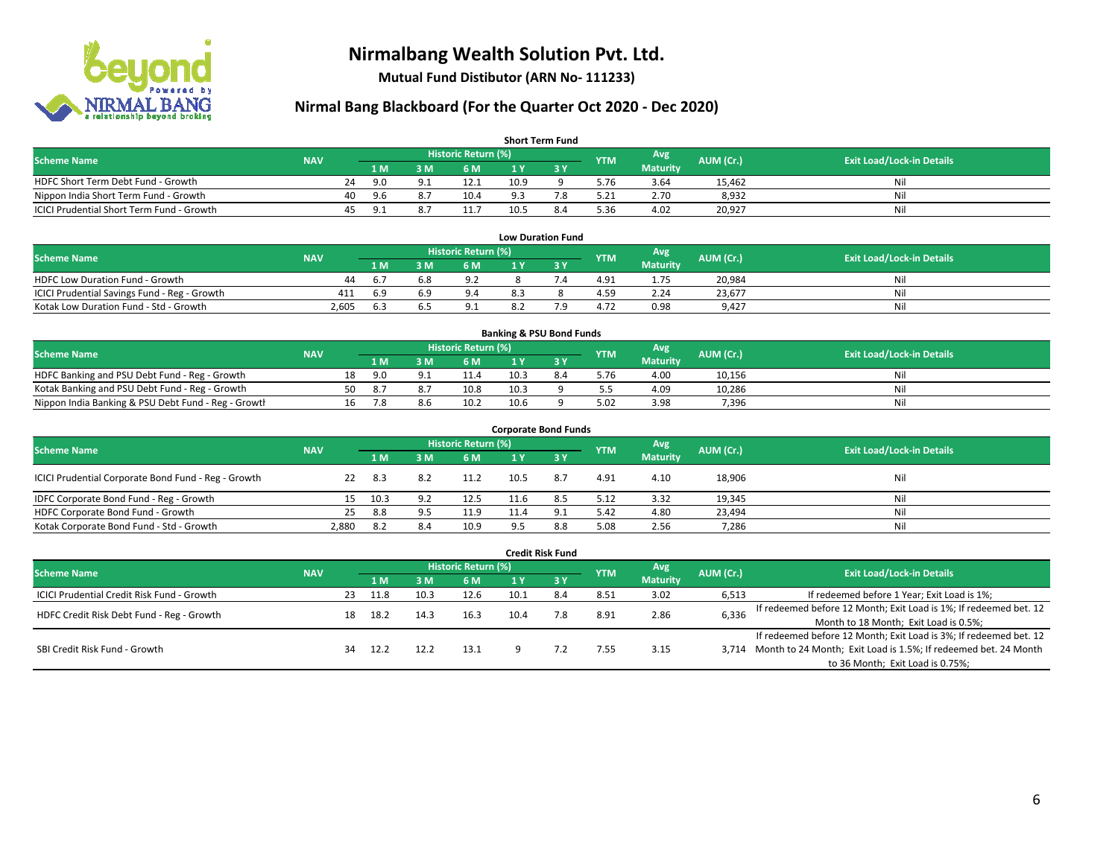

**Mutual Fund Distibutor (ARN No- 111233)**

| <b>Short Term Fund</b>                           |            |    |     |     |                     |      |     |            |                 |           |                                  |  |  |  |
|--------------------------------------------------|------------|----|-----|-----|---------------------|------|-----|------------|-----------------|-----------|----------------------------------|--|--|--|
| <b>Scheme Name</b>                               | <b>NAV</b> |    |     |     | Historic Return (%) |      |     | <b>YTM</b> | Avg             | AUM (Cr.) | <b>Exit Load/Lock-in Details</b> |  |  |  |
|                                                  |            |    | 1 M | 3 M | 6 M                 | 1 Y  |     |            | <b>Maturity</b> |           |                                  |  |  |  |
| HDFC Short Term Debt Fund - Growth               |            | 24 | 9.0 |     | 12.1                | 10.9 |     | 5.76       | 3.64            | 15.462    | Nil                              |  |  |  |
| Nippon India Short Term Fund - Growth            |            | 40 | 9.6 |     | 10.4                | 9.3  |     | 5.21       | 2.70            | 8,932     | Nil                              |  |  |  |
| <b>ICICI Prudential Short Term Fund - Growth</b> |            | 45 | 9.1 |     | 11.7                | 10.5 | 8.4 | 5.36       | 4.02            | 20,927    | Nil                              |  |  |  |

| <b>Low Duration Fund</b>                     |            |      |     |                     |     |  |            |                 |           |                                  |  |  |  |
|----------------------------------------------|------------|------|-----|---------------------|-----|--|------------|-----------------|-----------|----------------------------------|--|--|--|
| <b>Scheme Name</b>                           | <b>NAV</b> |      |     | Historic Return (%) |     |  | <b>YTM</b> | Avg             | AUM (Cr.) | <b>Exit Load/Lock-in Details</b> |  |  |  |
|                                              |            | 1 M  |     | 6 M                 |     |  |            | <b>Maturity</b> |           |                                  |  |  |  |
| <b>HDFC Low Duration Fund - Growth</b>       | 44         | 6.1  | 6.8 | 9.2                 |     |  | 4.91       | 1.75            | 20,984    | Nil                              |  |  |  |
| ICICI Prudential Savings Fund - Reg - Growth | 411        | -6.9 |     | 9.4                 | 8.3 |  | 4.59       | 2.24            | 23,677    | Nil                              |  |  |  |
| Kotak Low Duration Fund - Std - Growth       | 2,605      | 6.3  |     | 9.1                 |     |  | 4.72       | 0.98            | 9.427     | Nil                              |  |  |  |

| <b>Banking &amp; PSU Bond Funds</b>                 |            |    |     |     |                     |      |  |            |                 |           |                                  |  |  |
|-----------------------------------------------------|------------|----|-----|-----|---------------------|------|--|------------|-----------------|-----------|----------------------------------|--|--|
| <b>Scheme Name</b>                                  | <b>NAV</b> |    |     |     | Historic Return (%) |      |  | <b>YTM</b> | Avg             | AUM (Cr.) | <b>Exit Load/Lock-in Details</b> |  |  |
|                                                     |            |    | 1 M |     | 6 M                 |      |  |            | <b>Maturity</b> |           |                                  |  |  |
| HDFC Banking and PSU Debt Fund - Reg - Growth       |            | 18 | 9.0 |     | 11.4                | 10.3 |  | 5.76       | 4.00            | 10,156    | Nil                              |  |  |
| Kotak Banking and PSU Debt Fund - Reg - Growth      |            | 50 | 8.7 |     | 10.8                | 10.3 |  | - -        | 4.09            | 10.286    | Nil                              |  |  |
| Nippon India Banking & PSU Debt Fund - Reg - Growth |            | 16 |     | 8.6 | 10.2                | 10.6 |  | 5.02       | 3.98            | 7,396     | Nil                              |  |  |

| <b>Corporate Bond Funds</b>                         |            |      |     |                            |      |        |            |                 |           |                                  |  |  |  |
|-----------------------------------------------------|------------|------|-----|----------------------------|------|--------|------------|-----------------|-----------|----------------------------------|--|--|--|
| <b>Scheme Name</b>                                  | <b>NAV</b> |      |     | <b>Historic Return (%)</b> |      |        | <b>YTM</b> | Avg             | AUM (Cr.) | <b>Exit Load/Lock-in Details</b> |  |  |  |
|                                                     |            | 1 M  | 3 M | 6 M                        | 1 Y  | $Z_3V$ |            | <b>Maturity</b> |           |                                  |  |  |  |
| ICICI Prudential Corporate Bond Fund - Reg - Growth | 22         | 8.3  | 8.2 | 11.2                       | 10.5 | 8.7    | 4.91       | 4.10            | 18,906    | Nil                              |  |  |  |
| IDFC Corporate Bond Fund - Reg - Growth             | 15         | 10.3 | 9.2 | 12.5                       | 11.6 | 8.5    | 5.12       | 3.32            | 19,345    | Ni                               |  |  |  |
| HDFC Corporate Bond Fund - Growth                   | 25         | 8.8  | 9.5 | 11.9                       | 11.4 |        | 5.42       | 4.80            | 23,494    | Nil                              |  |  |  |
| Kotak Corporate Bond Fund - Std - Growth            | 2,880      | 8.2  | 8.4 | 10.9                       | 0 5  | 8.8    | 5.08       | 2.56            | 7,286     | Nil                              |  |  |  |

|                                            |            |    |      |      |                            |      | <b>Credit Risk Fund</b> |            |                        |           |                                                                       |
|--------------------------------------------|------------|----|------|------|----------------------------|------|-------------------------|------------|------------------------|-----------|-----------------------------------------------------------------------|
| <b>Scheme Name</b>                         | <b>NAV</b> |    |      |      | <b>Historic Return (%)</b> |      |                         | <b>YTM</b> | Avg<br><b>Maturity</b> | AUM (Cr.) | <b>Exit Load/Lock-in Details</b>                                      |
|                                            |            |    | 1 M  | 3 M  | 6 M                        | 1 Y  | <b>3Y</b>               |            |                        |           |                                                                       |
| ICICI Prudential Credit Risk Fund - Growth |            | 23 | 11.8 |      | 12.6                       | 10.1 | 8.4                     | 8.51       | 3.02                   | 6,513     | If redeemed before 1 Year; Exit Load is 1%;                           |
| HDFC Credit Risk Debt Fund - Reg - Growth  |            | 18 | 18.2 | 14.3 | 16.3                       | 10.4 | 7.8                     | 8.91       | 2.86                   | 6,336     | If redeemed before 12 Month; Exit Load is 1%; If redeemed bet. 12     |
|                                            |            |    |      |      |                            |      |                         |            |                        |           | Month to 18 Month; Exit Load is 0.5%;                                 |
| SBI Credit Risk Fund - Growth              |            |    |      |      |                            |      |                         |            |                        |           | If redeemed before 12 Month; Exit Load is 3%; If redeemed bet. 12     |
|                                            |            | 34 | 12.2 | 12.2 | 13.1                       |      |                         | 7.55       | 3.15                   |           | 3,714 Month to 24 Month; Exit Load is 1.5%; If redeemed bet. 24 Month |
|                                            |            |    |      |      |                            |      |                         |            |                        |           | to 36 Month; Exit Load is 0.75%;                                      |